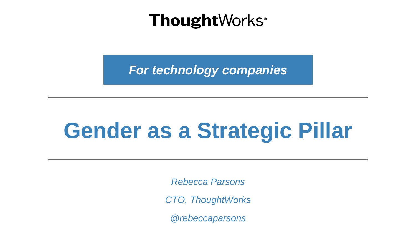*For technology companies*

### **Gender as a Strategic Pillar**

*Rebecca Parsons*

*CTO, ThoughtWorks*

*@rebeccaparsons*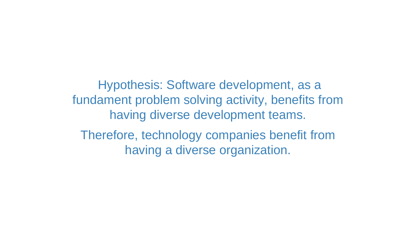Hypothesis: Software development, as a fundament problem solving activity, benefits from having diverse development teams. Therefore, technology companies benefit from having a diverse organization.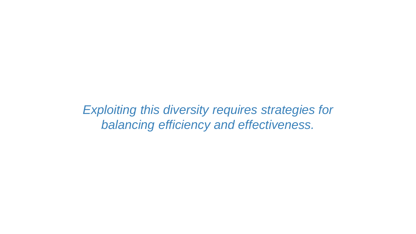*Exploiting this diversity requires strategies for balancing efficiency and effectiveness.*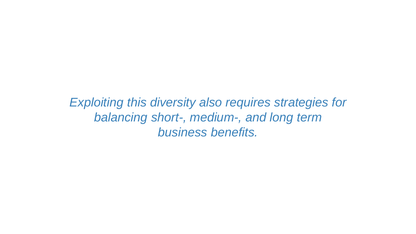*Exploiting this diversity also requires strategies for balancing short-, medium-, and long term business benefits.*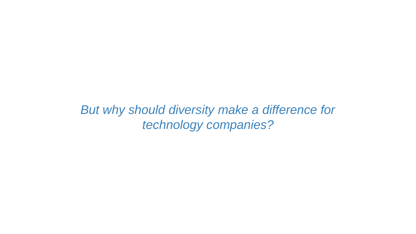*But why should diversity make a difference for technology companies?*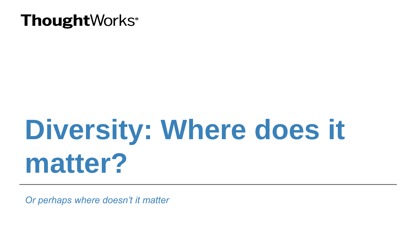### **Diversity: Where does it matter?**

*Or perhaps where doesn't it matter*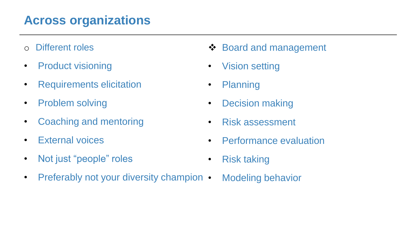#### **Across organizations**

- o Different roles
- Product visioning
- Requirements elicitation
- Problem solving
- Coaching and mentoring
- External voices
- Not just "people" roles
- Preferably not your diversity champion •
- **❖ Board and management**
- Vision setting
- Planning
- Decision making
- Risk assessment
- Performance evaluation
- Risk taking
- Modeling behavior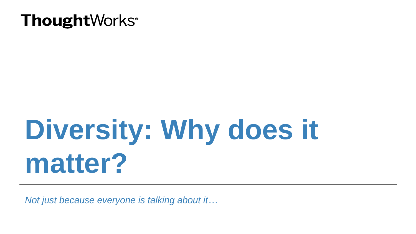## **Diversity: Why does it matter?**

*Not just because everyone is talking about it…*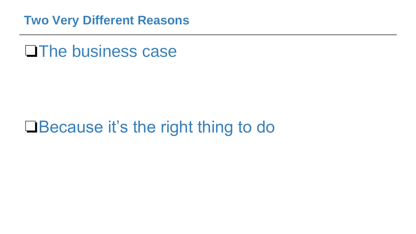**Two Very Different Reasons**

❏The business case

#### ❏Because it's the right thing to do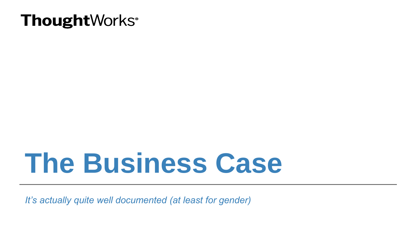### **The Business Case**

*It's actually quite well documented (at least for gender)*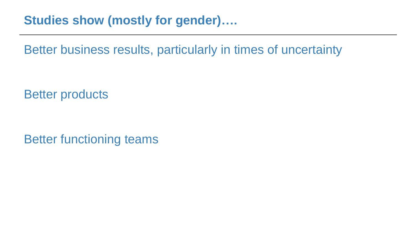**Studies show (mostly for gender)….**

Better business results, particularly in times of uncertainty

Better products

Better functioning teams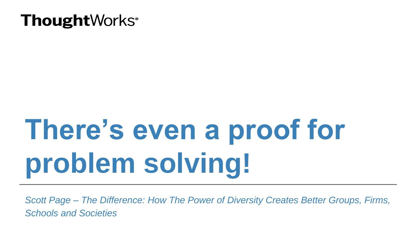# **There's even a proof for problem solving!**

*Scott Page – The Difference: How The Power of Diversity Creates Better Groups, Firms, Schools and Societies*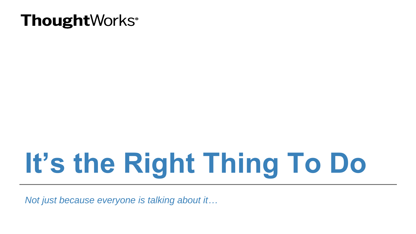# **It's the Right Thing To Do**

*Not just because everyone is talking about it…*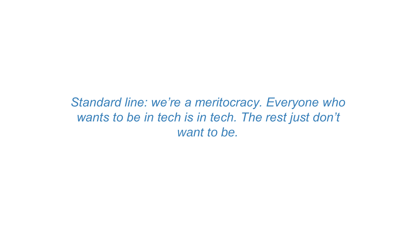*Standard line: we're a meritocracy. Everyone who*  wants to be in tech is in tech. The rest just don't *want to be.*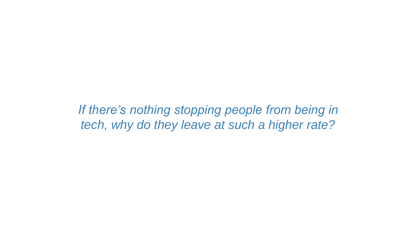*If there's nothing stopping people from being in tech, why do they leave at such a higher rate?*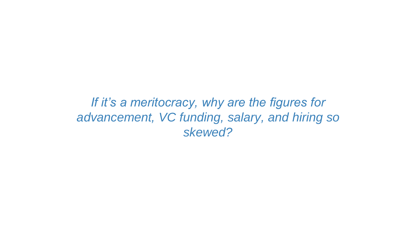*If it's a meritocracy, why are the figures for advancement, VC funding, salary, and hiring so skewed?*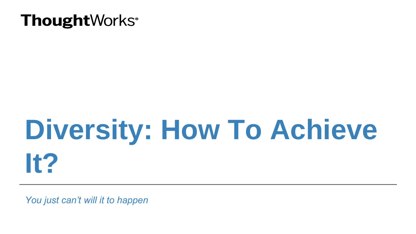## **Diversity: How To Achieve It?**

*You just can't will it to happen*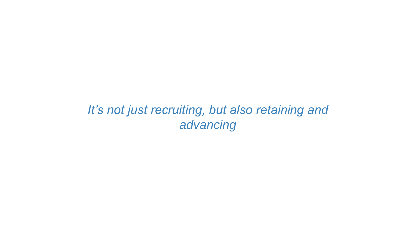#### *It's not just recruiting, but also retaining and advancing*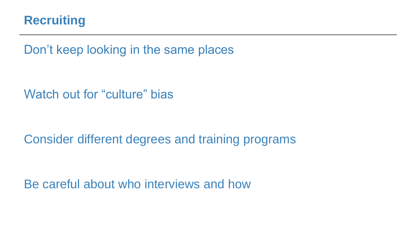

Don't keep looking in the same places

Watch out for "culture" bias

Consider different degrees and training programs

Be careful about who interviews and how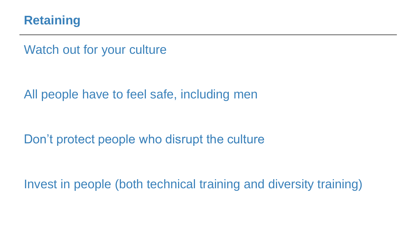

Watch out for your culture

All people have to feel safe, including men

Don't protect people who disrupt the culture

Invest in people (both technical training and diversity training)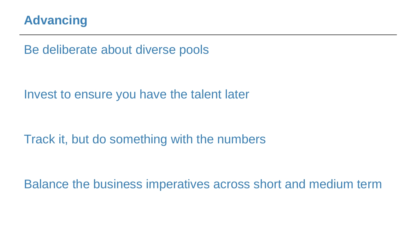

Be deliberate about diverse pools

Invest to ensure you have the talent later

Track it, but do something with the numbers

Balance the business imperatives across short and medium term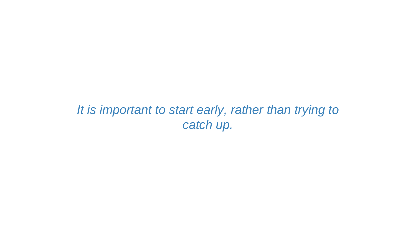#### *It is important to start early, rather than trying to catch up.*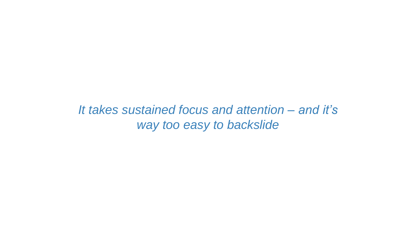*It takes sustained focus and attention – and it's way too easy to backslide*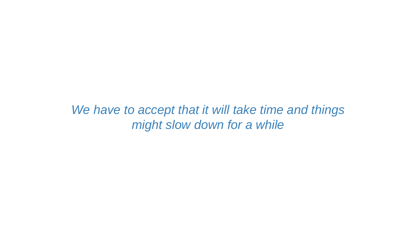*We have to accept that it will take time and things might slow down for a while*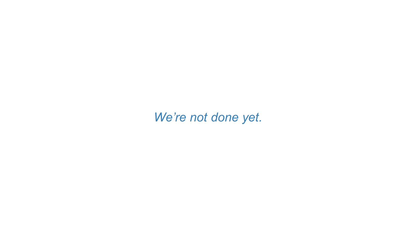*We're not done yet.*